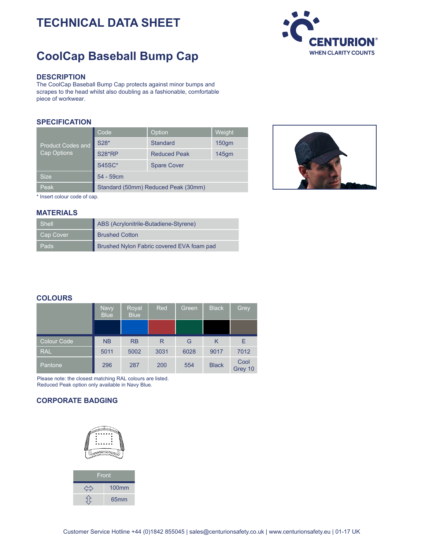# **TECHNICAL DATA SHEET**

## **CoolCap Baseball Bump Cap**



#### **DESCRIPTION**

The CoolCap Baseball Bump Cap protects against minor bumps and scrapes to the head whilst also doubling as a fashionable, comfortable piece of workwear.

#### **SPECIFICATION**

| <b>Product Codes and</b><br>Cap Options | Code                                | Option              | Weight           |
|-----------------------------------------|-------------------------------------|---------------------|------------------|
|                                         | S28*                                | <b>Standard</b>     | 150 <sub>q</sub> |
|                                         | <b>S28*RP</b>                       | <b>Reduced Peak</b> | $145$ gm         |
|                                         | <b>S45SC*</b>                       | <b>Spare Cover</b>  |                  |
| <b>Size</b>                             | 54 - 59cm                           |                     |                  |
| Peak                                    | Standard (50mm) Reduced Peak (30mm) |                     |                  |



\* Insert colour code of cap.

#### **MATERIALS**

| <b>Shell</b> | ABS (Acrylonitrile-Butadiene-Styrene)     |
|--------------|-------------------------------------------|
| Cap Cover    | <b>Brushed Cotton</b>                     |
| Pads         | Brushed Nylon Fabric covered EVA foam pad |

### **COLOURS**

|             | <b>Navy</b><br><b>Blue</b> | Royal<br><b>Blue</b> | <b>Red</b> | Green | <b>Black</b> | Grey            |
|-------------|----------------------------|----------------------|------------|-------|--------------|-----------------|
|             |                            |                      |            |       |              |                 |
| Colour Code | <b>NB</b>                  | <b>RB</b>            | R          | G     | Κ            | Е               |
| <b>RAL</b>  | 5011                       | 5002                 | 3031       | 6028  | 9017         | 7012            |
| Pantone     | 296                        | 287                  | 200        | 554   | <b>Black</b> | Cool<br>Grey 10 |

Please note: the closest matching RAL colours are listed. Reduced Peak option only available in Navy Blue.

### **CORPORATE BADGING**

| Front        |
|--------------|
| <b>100mm</b> |
| 65mm         |